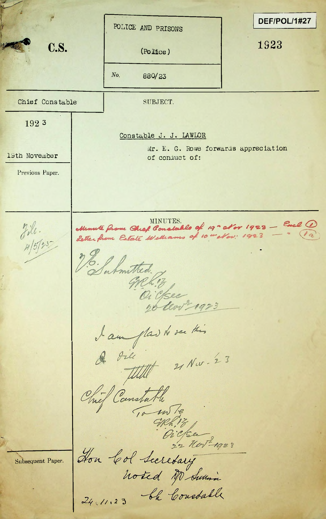DEF/POL/1#27 POLICE AND PRISONS **C.S.** (Police) 1923 (Police) *No.* 880/23 Chief Constable and SUBJECT. 192 3 Constable J. J. LAWLOR Mr. E. G. Rowe forwards appreciation 13th November of conduct of: Previous Paper. MINUTES.<br>**Constable of 19" of or 1923 - Excl 10**<br>Williams of 10 - Nov: 1923 - (2)  $jil.$ <br> $n/5j*5$ *<i>p*  $\frac{1}{2}$  of  $\frac{1}{2}$   $\frac{1}{2}$   $\frac{1}{2}$   $\frac{1}{2}$ J. Submitted. greh 13 Oi yese dan plad to see this<br>A die 11 Nov. 23 Chief Canstable<br>To mile 32 november 1923 Subsequent Paper.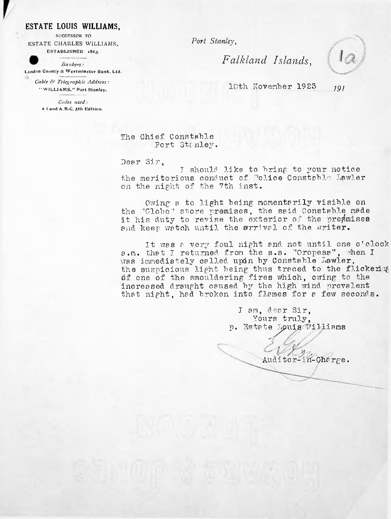## **ESTATE LOUIS WILLIAMS,**

SUCCESSOR TO ESTATE CHARLES WILLIAMS, ESTABLISHED 1863.

*Bankers:* London County & Westminster Bank, Ltd.

*Cable & Telegraphic Address:* " WILLIAMS." Port Stanley.

*Codes used:* <sup>A</sup> <sup>I</sup> and A. B.C. 5th Edition. *Port Stanley*,

*Falkland Islands,*



10th November 1923 *<sup>191</sup>*

The Chief Constable Port Stanley.

Dear Sir,

I should like to bring to your notice the meritorious conduct of Police Constable Lawler on the night of the 7th inst.

Owing a to light being momentarily visible on the "Globe" store premises, the said Constable made it his duty to revise the exterior of the presmises and keep watch until the arrival of the writer.

It was <sup>a</sup> very foul night and. not until one o'clock a.m. that I returned from the s.s. "Oropesa", when I was immediately called upon by Constable Lawler, the suspicious light being thus traced to the flickering of one of the smouldering fires which, owing to the increased draught caused by the high wind prevalent that night, had broken into flames for a few seconds.

> I am, clear Sir, Yours truly, p. **Estate**^puis"lWilliams

Auditor-in-Charge.